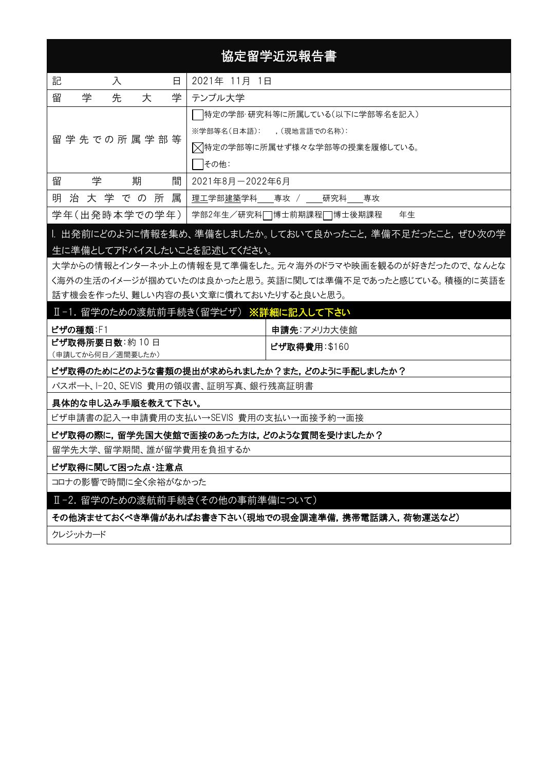# 協定留学近況報告書

| 記<br>入<br>日           | 2021年 11月 1日                  |  |  |  |
|-----------------------|-------------------------------|--|--|--|
| 留<br>学<br>学<br>先<br>大 | テンプル大学                        |  |  |  |
|                       | 特定の学部・研究科等に所属している(以下に学部等名を記入) |  |  |  |
| 留 学 先 で の 所 属 学 部 等   | ※学部等名(日本語): (現地言語での名称):       |  |  |  |
|                       | ▽特定の学部等に所属せず様々な学部等の授業を履修している。 |  |  |  |
|                       | その他:                          |  |  |  |
| 留<br>学<br>期<br>間      | 2021年8月-2022年6月               |  |  |  |
| 明 治 大 学 で の 所 属       | 理工学部建築学科 専攻 / 研究科 専攻          |  |  |  |
| 学年(出発時本学での学年)         | 学部2年生/研究科□博士前期課程□博士後期課程<br>年生 |  |  |  |

## |. 出発前にどのように情報を集め、準備をしましたか。しておいて良かったこと,準備不足だったこと,ぜひ次の学 生に準備としてアドバイスしたいことを記述してください。

大学からの情報とインターネット上の情報を見て準備をした。元々海外のドラマや映画を観るのが好きだったので、なんとな く海外の生活のイメージが掴めていたのは良かったと思う。英語に関しては準備不足であったと感じている。積極的に英語を 話す機会を作ったり、難しい内容の長い文章に慣れておいたりすると良いと思う。

## Ⅱ-1. 留学のための渡航前手続き(留学ビザ) ※詳細に記入して下さい

| ビザの種類:F1          | 申請先:アメリカ大使館  |
|-------------------|--------------|
| ビザ取得所要日数:約10日     | ビザ取得費用:\$160 |
| (申請してから何日/週間要したか) |              |

#### ビザ取得のためにどのような書類の提出が求められましたか?また,どのように手配しましたか?

パスポート、I-20、SEVIS 費用の領収書、証明写真、銀行残高証明書

#### 具体的な申し込み手順を教えて下さい。

ビザ申請書の記入→申請費用の支払い→SEVIS 費用の支払い→面接予約→面接

#### ビザ取得の際に,留学先国大使館で面接のあった方は,どのような質問を受けましたか?

留学先大学、留学期間、誰が留学費用を負担するか

#### ビザ取得に関して困った点・注意点

コロナの影響で時間に全く余裕がなかった

Ⅱ-2. 留学のための渡航前手続き(その他の事前準備について)

## その他済ませておくべき準備があればお書き下さい(現地での現金調達準備,携帯電話購入,荷物運送など)

クレジットカード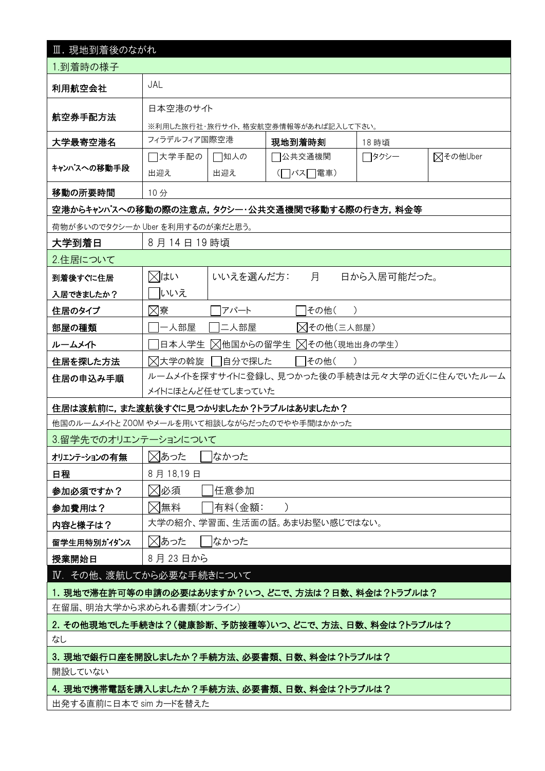| Ⅲ. 現地到着後のながれ                                        |                                              |                         |                                     |             |          |  |
|-----------------------------------------------------|----------------------------------------------|-------------------------|-------------------------------------|-------------|----------|--|
| 1.到着時の様子                                            |                                              |                         |                                     |             |          |  |
| 利用航空会社                                              | JAL                                          |                         |                                     |             |          |  |
|                                                     | 日本空港のサイト                                     |                         |                                     |             |          |  |
| 航空券手配方法                                             |                                              |                         | ※利用した旅行社・旅行サイト,格安航空券情報等があれば記入して下さい。 |             |          |  |
| 大学最寄空港名                                             | フィラデルフィア国際空港                                 |                         | 現地到着時刻                              | 18 時頃       |          |  |
|                                                     | □大学手配の                                       | □知人の                    | 7公共交通機関                             | ┌┐タクシー      | ⊠その他Uber |  |
| キャンパスへの移動手段                                         | 出迎え                                          | 出迎え                     | (□バス□電車)                            |             |          |  |
| 移動の所要時間                                             | 10分                                          |                         |                                     |             |          |  |
| 空港からキャンパスへの移動の際の注意点,タクシー・公共交通機関で移動する際の行き方,料金等       |                                              |                         |                                     |             |          |  |
| 荷物が多いのでタクシーか Uber を利用するのが楽だと思う。                     |                                              |                         |                                     |             |          |  |
| 大学到着日                                               | 8月14日19時頃                                    |                         |                                     |             |          |  |
| 2.住居について                                            |                                              |                         |                                     |             |          |  |
| 到着後すぐに住居                                            | ⊠はい                                          | いいえを選んだ方:               | 月                                   | 日から入居可能だった。 |          |  |
| 入居できましたか?                                           | いいえ                                          |                         |                                     |             |          |  |
| 住居のタイプ                                              | ⊠寮                                           | アパート                    | その他(                                |             |          |  |
| 部屋の種類                                               | 一人部屋                                         | 二人部屋                    | △その他(三人部屋)                          |             |          |  |
| ルームメイト                                              | 日本人学生                                        | △他国からの留学生 △その他(現地出身の学生) |                                     |             |          |  |
| 住居を探した方法                                            | ⊠大学の斡旋<br> 自分で探した<br>その他(                    |                         |                                     |             |          |  |
| 住居の申込み手順                                            | ルームメイトを探すサイトに登録し、見つかった後の手続きは元々大学の近くに住んでいたルーム |                         |                                     |             |          |  |
|                                                     | メイトにほとんど任せてしまっていた                            |                         |                                     |             |          |  |
| 住居は渡航前に,また渡航後すぐに見つかりましたか?トラブルはありましたか?               |                                              |                         |                                     |             |          |  |
| 他国のルームメイトと ZOOM やメールを用いて相談しながらだったのでやや手間はかかった        |                                              |                         |                                     |             |          |  |
| 3.留学先でのオリエンテーションについて                                |                                              |                         |                                     |             |          |  |
| オリエンテーションの有無                                        |                                              | ⊠あった<br>なかった            |                                     |             |          |  |
| 日程                                                  | 8月18,19日                                     |                         |                                     |             |          |  |
| 参加必須ですか?                                            | ⊠必須                                          | 任意参加                    |                                     |             |          |  |
| 参加費用は?                                              | ⊠無料                                          | 有料(金額:                  |                                     |             |          |  |
| 内容と様子は?                                             |                                              |                         | 大学の紹介、学習面、生活面の話。あまりお堅い感じではない。       |             |          |  |
| 留学生用特別がイダンス                                         | ⊠あった<br>なかった                                 |                         |                                     |             |          |  |
| 授業開始日                                               | 8月23日から                                      |                         |                                     |             |          |  |
| IV. その他、渡航してから必要な手続きについて                            |                                              |                         |                                     |             |          |  |
| 1. 現地で滞在許可等の申請の必要はありますか?いつ、どこで、方法は?日数、料金は?トラブルは?    |                                              |                         |                                     |             |          |  |
| 在留届、明治大学から求められる書類(オンライン)                            |                                              |                         |                                     |             |          |  |
| 2. その他現地でした手続きは?(健康診断、予防接種等)いつ、どこで、方法、日数、料金は?トラブルは? |                                              |                         |                                     |             |          |  |
| なし                                                  |                                              |                         |                                     |             |          |  |
| 3. 現地で銀行口座を開設しましたか?手続方法、必要書類、日数、料金は?トラブルは?          |                                              |                         |                                     |             |          |  |
| 開設していない                                             |                                              |                         |                                     |             |          |  |
| 4. 現地で携帯電話を購入しましたか?手続方法、必要書類、日数、料金は?トラブルは?          |                                              |                         |                                     |             |          |  |
| 出発する直前に日本で sim カードを替えた                              |                                              |                         |                                     |             |          |  |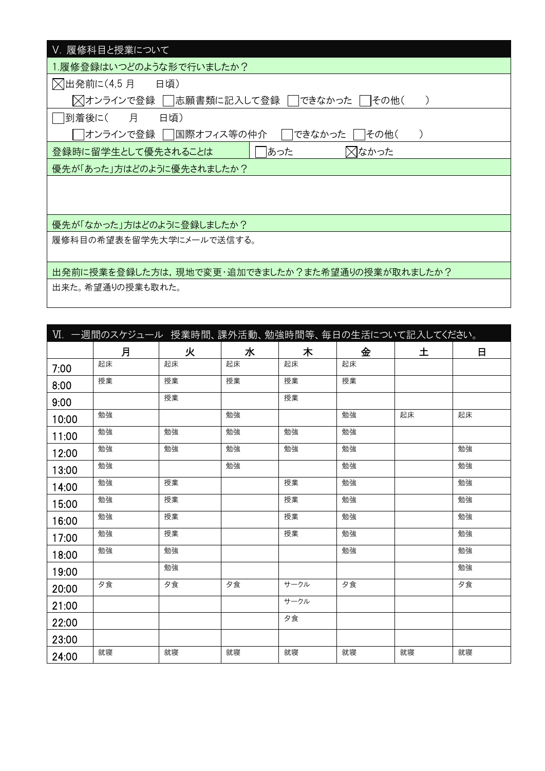| V. 履修科目と授業について                                 |
|------------------------------------------------|
| .履修登録はいつどのような形で行いましたか?                         |
| △出発前に(4,5 月 日頃)                                |
| ╳ オンラインで登録 │  志願書類に記入して登録 │ できなかった<br> その他(    |
| 月<br> 到着後に(<br>日頃)                             |
| できなかった<br> オンラインで登録    国際オフィス等の仲介<br>その他(      |
| ⊠なかった<br>あった<br>登録時に留学生として優先されることは             |
| 優先が「あった」方はどのように優先されましたか?                       |
|                                                |
|                                                |
| 優先が「なかった」方はどのように登録しましたか?                       |
|                                                |
| 履修科目の希望表を留学先大学にメールで送信する。                       |
|                                                |
| 出発前に授業を登録した方は,現地で変更・追加できましたか?また希望通りの授業が取れましたか? |
| 出来た。希望通りの授業も取れた。                               |

|       | Ⅵ. 一週間のスケジュール 授業時間、課外活動、勉強時間等、毎日の生活について記入してください。 |    |    |      |    |    |    |
|-------|--------------------------------------------------|----|----|------|----|----|----|
|       | 月                                                | 火  | 水  | 木    | 金  | 土  | 日  |
| 7:00  | 起床                                               | 起床 | 起床 | 起床   | 起床 |    |    |
| 8:00  | 授業                                               | 授業 | 授業 | 授業   | 授業 |    |    |
| 9:00  |                                                  | 授業 |    | 授業   |    |    |    |
| 10:00 | 勉強                                               |    | 勉強 |      | 勉強 | 起床 | 起床 |
| 11:00 | 勉強                                               | 勉強 | 勉強 | 勉強   | 勉強 |    |    |
| 12:00 | 勉強                                               | 勉強 | 勉強 | 勉強   | 勉強 |    | 勉強 |
| 13:00 | 勉強                                               |    | 勉強 |      | 勉強 |    | 勉強 |
| 14:00 | 勉強                                               | 授業 |    | 授業   | 勉強 |    | 勉強 |
| 15:00 | 勉強                                               | 授業 |    | 授業   | 勉強 |    | 勉強 |
| 16:00 | 勉強                                               | 授業 |    | 授業   | 勉強 |    | 勉強 |
| 17:00 | 勉強                                               | 授業 |    | 授業   | 勉強 |    | 勉強 |
| 18:00 | 勉強                                               | 勉強 |    |      | 勉強 |    | 勉強 |
| 19:00 |                                                  | 勉強 |    |      |    |    | 勉強 |
| 20:00 | 夕食                                               | 夕食 | 夕食 | サークル | 夕食 |    | 夕食 |
| 21:00 |                                                  |    |    | サークル |    |    |    |
| 22:00 |                                                  |    |    | 夕食   |    |    |    |
| 23:00 |                                                  |    |    |      |    |    |    |
| 24:00 | 就寝                                               | 就寝 | 就寝 | 就寝   | 就寝 | 就寝 | 就寝 |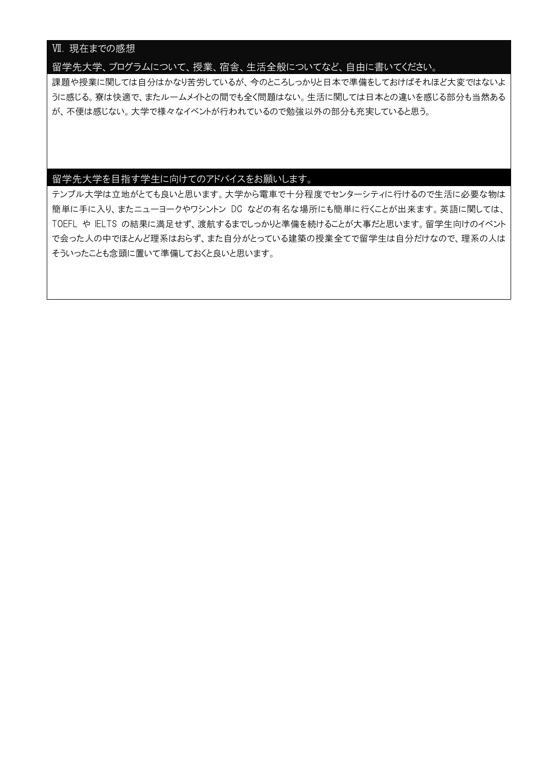## Ⅶ. 現在までの感想

留学先大学、プログラムについて、授業、宿舎、生活全般についてなど、自由に書いてください。

課題や授業に関しては自分はかなり苦労しているが、今のところしっかりと日本で準備をしておけばそれほど大変ではないよ うに感じる。寮は快適で、またルームメイトとの間でも全く問題はない。生活に関しては日本との違いを感じる部分も当然ある が、不便は感じない。大学で様々なイベントが行われているので勉強以外の部分も充実していると思う。

## 留学先大学を目指す学生に向けてのアドバイスをお願いします。

テンプル大学は立地がとても良いと思います。大学から電車で十分程度でセンターシティに行けるので生活に必要な物は 簡単に手に入り、またニューヨークやワシントン DC などの有名な場所にも簡単に行くことが出来ます。英語に関しては、 TOEFL や IELTS の結果に満足せず、渡航するまでしっかりと準備を続けることが大事だと思います。留学生向けのイベント で会った人の中でほとんど理系はおらず、また自分がとっている建築の授業全てで留学生は自分だけなので、理系の人は そういったことも念頭に置いて準備しておくと良いと思います。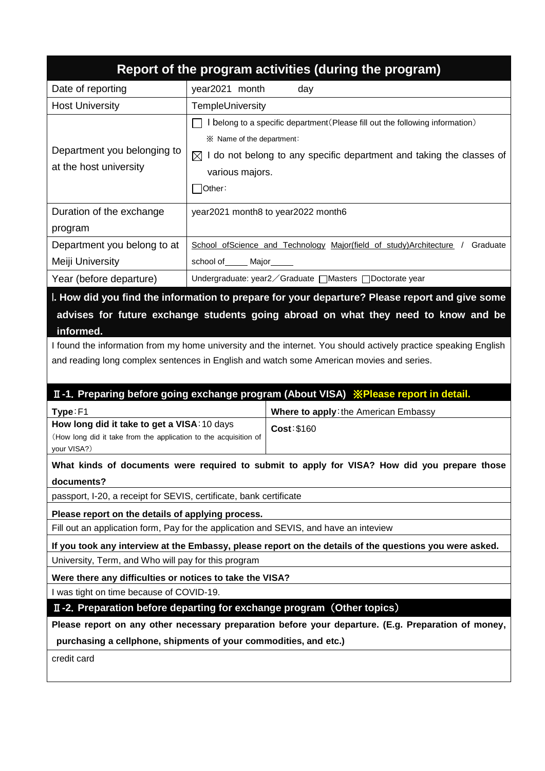|                                                                                                                                                                                                                                                                                                                      |                                                                                                                                                                                                                             | Report of the program activities (during the program)                                                   |  |  |
|----------------------------------------------------------------------------------------------------------------------------------------------------------------------------------------------------------------------------------------------------------------------------------------------------------------------|-----------------------------------------------------------------------------------------------------------------------------------------------------------------------------------------------------------------------------|---------------------------------------------------------------------------------------------------------|--|--|
| Date of reporting                                                                                                                                                                                                                                                                                                    | year2021 month                                                                                                                                                                                                              | day                                                                                                     |  |  |
| <b>Host University</b>                                                                                                                                                                                                                                                                                               | TempleUniversity                                                                                                                                                                                                            |                                                                                                         |  |  |
| Department you belonging to<br>at the host university                                                                                                                                                                                                                                                                | I belong to a specific department (Please fill out the following information)<br>※ Name of the department:<br>$\boxtimes$ I do not belong to any specific department and taking the classes of<br>various majors.<br>Other: |                                                                                                         |  |  |
| Duration of the exchange<br>program                                                                                                                                                                                                                                                                                  |                                                                                                                                                                                                                             | year2021 month8 to year2022 month6                                                                      |  |  |
| Department you belong to at<br>Meiji University                                                                                                                                                                                                                                                                      | school of ______ Major_____                                                                                                                                                                                                 | School ofScience and Technology Major(field of study)Architecture /<br>Graduate                         |  |  |
| Year (before departure)                                                                                                                                                                                                                                                                                              |                                                                                                                                                                                                                             | Undergraduate: year2 / Graduate □ Masters □ Doctorate year                                              |  |  |
| I. How did you find the information to prepare for your departure? Please report and give some<br>advises for future exchange students going abroad on what they need to know and be<br>informed.<br>I found the information from my home university and the internet. You should actively practice speaking English |                                                                                                                                                                                                                             |                                                                                                         |  |  |
|                                                                                                                                                                                                                                                                                                                      |                                                                                                                                                                                                                             | and reading long complex sentences in English and watch some American movies and series.                |  |  |
|                                                                                                                                                                                                                                                                                                                      |                                                                                                                                                                                                                             | II-1. Preparing before going exchange program (About VISA) <i>*Please report in detail.</i>             |  |  |
| Type:F1<br>How long did it take to get a VISA: 10 days<br>(How long did it take from the application to the acquisition of<br>your VISA?)                                                                                                                                                                            |                                                                                                                                                                                                                             | Where to apply: the American Embassy<br>Cost: \$160                                                     |  |  |
|                                                                                                                                                                                                                                                                                                                      |                                                                                                                                                                                                                             | What kinds of documents were required to submit to apply for VISA? How did you prepare those            |  |  |
| documents?<br>passport, I-20, a receipt for SEVIS, certificate, bank certificate                                                                                                                                                                                                                                     |                                                                                                                                                                                                                             |                                                                                                         |  |  |
| Please report on the details of applying process.                                                                                                                                                                                                                                                                    |                                                                                                                                                                                                                             |                                                                                                         |  |  |
| Fill out an application form, Pay for the application and SEVIS, and have an inteview                                                                                                                                                                                                                                |                                                                                                                                                                                                                             |                                                                                                         |  |  |
|                                                                                                                                                                                                                                                                                                                      |                                                                                                                                                                                                                             | If you took any interview at the Embassy, please report on the details of the questions you were asked. |  |  |
| University, Term, and Who will pay for this program                                                                                                                                                                                                                                                                  |                                                                                                                                                                                                                             |                                                                                                         |  |  |
| Were there any difficulties or notices to take the VISA?                                                                                                                                                                                                                                                             |                                                                                                                                                                                                                             |                                                                                                         |  |  |
| I was tight on time because of COVID-19.                                                                                                                                                                                                                                                                             |                                                                                                                                                                                                                             |                                                                                                         |  |  |
|                                                                                                                                                                                                                                                                                                                      |                                                                                                                                                                                                                             | II-2. Preparation before departing for exchange program (Other topics)                                  |  |  |
|                                                                                                                                                                                                                                                                                                                      |                                                                                                                                                                                                                             | Please report on any other necessary preparation before your departure. (E.g. Preparation of money,     |  |  |
| purchasing a cellphone, shipments of your commodities, and etc.)                                                                                                                                                                                                                                                     |                                                                                                                                                                                                                             |                                                                                                         |  |  |
| credit card                                                                                                                                                                                                                                                                                                          |                                                                                                                                                                                                                             |                                                                                                         |  |  |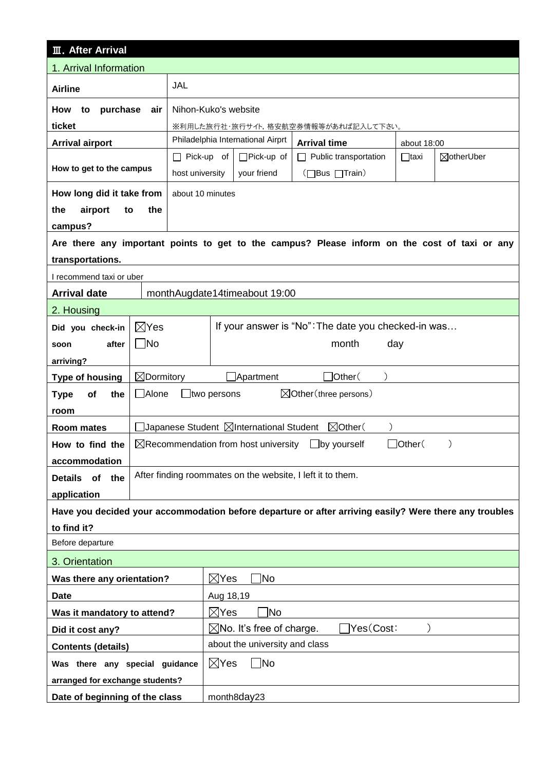| <b>III. After Arrival</b>                                                                              |                                                                                       |                      |                                         |                                                                                               |             |            |  |
|--------------------------------------------------------------------------------------------------------|---------------------------------------------------------------------------------------|----------------------|-----------------------------------------|-----------------------------------------------------------------------------------------------|-------------|------------|--|
| 1. Arrival Information                                                                                 |                                                                                       |                      |                                         |                                                                                               |             |            |  |
| <b>Airline</b>                                                                                         |                                                                                       | JAL                  |                                         |                                                                                               |             |            |  |
| How<br>purchase<br>to                                                                                  | air                                                                                   | Nihon-Kuko's website |                                         |                                                                                               |             |            |  |
| ticket                                                                                                 |                                                                                       |                      |                                         | ※利用した旅行社・旅行サイト,格安航空券情報等があれば記入して下さい。                                                           |             |            |  |
| <b>Arrival airport</b>                                                                                 |                                                                                       |                      | Philadelphia International Airprt       | <b>Arrival time</b>                                                                           | about 18:00 |            |  |
|                                                                                                        |                                                                                       | □ Pick-up of         | □Pick-up of                             | Public transportation                                                                         | $\Box$ taxi | ⊠otherUber |  |
| How to get to the campus                                                                               |                                                                                       | host university      | your friend                             | (□Bus □Train)                                                                                 |             |            |  |
| How long did it take from                                                                              |                                                                                       | about 10 minutes     |                                         |                                                                                               |             |            |  |
| the<br>airport<br>to                                                                                   | the                                                                                   |                      |                                         |                                                                                               |             |            |  |
| campus?                                                                                                |                                                                                       |                      |                                         |                                                                                               |             |            |  |
|                                                                                                        |                                                                                       |                      |                                         | Are there any important points to get to the campus? Please inform on the cost of taxi or any |             |            |  |
| transportations.                                                                                       |                                                                                       |                      |                                         |                                                                                               |             |            |  |
| I recommend taxi or uber                                                                               |                                                                                       |                      |                                         |                                                                                               |             |            |  |
| <b>Arrival date</b>                                                                                    |                                                                                       |                      | monthAugdate14timeabout 19:00           |                                                                                               |             |            |  |
| 2. Housing                                                                                             |                                                                                       |                      |                                         |                                                                                               |             |            |  |
| Did you check-in                                                                                       | If your answer is "No": The date you checked-in was<br>$\boxtimes$ Yes                |                      |                                         |                                                                                               |             |            |  |
| after<br>soon                                                                                          | $\Box$ No<br>month<br>day                                                             |                      |                                         |                                                                                               |             |            |  |
| arriving?                                                                                              |                                                                                       |                      |                                         |                                                                                               |             |            |  |
| <b>Type of housing</b>                                                                                 | $\boxtimes$ Dormitory<br>$\Box$ Other $($<br>$\Box$ Apartment                         |                      |                                         |                                                                                               |             |            |  |
| the<br><b>Type</b><br>of                                                                               | □ Alone<br>$\boxtimes$ Other (three persons)<br>_ltwo persons                         |                      |                                         |                                                                                               |             |            |  |
| room                                                                                                   |                                                                                       |                      |                                         |                                                                                               |             |            |  |
| Room mates                                                                                             |                                                                                       |                      | Japanese Student ⊠International Student | $\boxtimes$ Other(                                                                            |             |            |  |
| How to find the                                                                                        | $\boxtimes$ Recommendation from host university<br>Other <sup>(</sup><br>Jby yourself |                      |                                         |                                                                                               |             |            |  |
| accommodation                                                                                          |                                                                                       |                      |                                         |                                                                                               |             |            |  |
| the<br><b>Details</b><br><b>of</b>                                                                     |                                                                                       |                      |                                         | After finding roommates on the website, I left it to them.                                    |             |            |  |
| application                                                                                            |                                                                                       |                      |                                         |                                                                                               |             |            |  |
| Have you decided your accommodation before departure or after arriving easily? Were there any troubles |                                                                                       |                      |                                         |                                                                                               |             |            |  |
| to find it?                                                                                            |                                                                                       |                      |                                         |                                                                                               |             |            |  |
| Before departure                                                                                       |                                                                                       |                      |                                         |                                                                                               |             |            |  |
| 3. Orientation                                                                                         |                                                                                       |                      |                                         |                                                                                               |             |            |  |
| Was there any orientation?                                                                             | $\boxtimes$ Yes<br> No                                                                |                      |                                         |                                                                                               |             |            |  |
| <b>Date</b>                                                                                            | Aug 18,19                                                                             |                      |                                         |                                                                                               |             |            |  |
|                                                                                                        | $\boxtimes$ Yes<br>1No<br>Was it mandatory to attend?                                 |                      |                                         |                                                                                               |             |            |  |
| Did it cost any?                                                                                       |                                                                                       |                      |                                         | Yes(Cost:<br>$\boxtimes$ No. It's free of charge.                                             |             |            |  |
| <b>Contents (details)</b>                                                                              |                                                                                       |                      | about the university and class          |                                                                                               |             |            |  |
| Was there any special guidance                                                                         |                                                                                       | $\boxtimes$ Yes      | $\sqcap$ No                             |                                                                                               |             |            |  |
| arranged for exchange students?                                                                        |                                                                                       |                      |                                         |                                                                                               |             |            |  |
| Date of beginning of the class                                                                         |                                                                                       |                      | month8day23                             |                                                                                               |             |            |  |